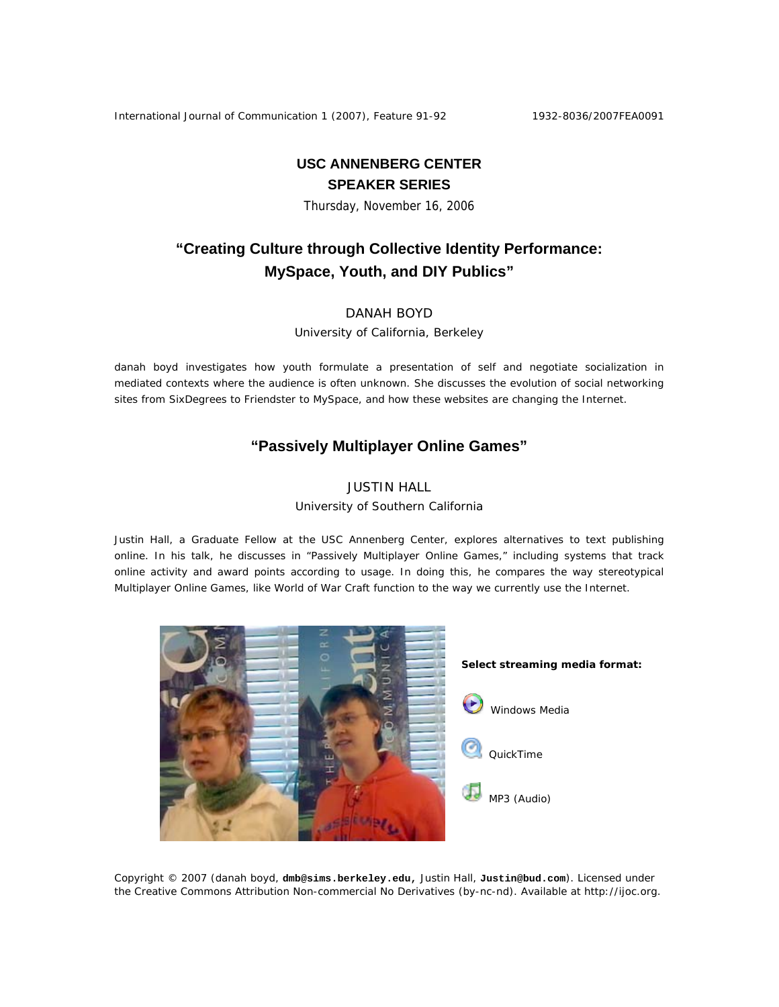International Journal of Communication 1 (2007), Feature 91-92 1932-8036/2007FEA0091

# **USC ANNENBERG CENTER SPEAKER SERIES**

Thursday, November 16, 2006

# **"Creating Culture through Collective Identity Performance: MySpace, Youth, and DIY Publics"**

## DANAH BOYD

University of California, Berkeley

danah boyd investigates how youth formulate a presentation of self and negotiate socialization in mediated contexts where the audience is often unknown. She discusses the evolution of social networking sites from SixDegrees to Friendster to MySpace, and how these websites are changing the Internet.

## **"Passively Multiplayer Online Games"**

## JUSTIN HALL

#### University of Southern California

Justin Hall, a Graduate Fellow at the USC Annenberg Center, explores alternatives to text publishing online. In his talk, he discusses in "Passively Multiplayer Online Games," including systems that track online activity and award points according to usage. In doing this, he compares the way stereotypical Multiplayer Online Games, like World of War Craft function to the way we currently use the Internet.



Copyright © 2007 (danah boyd, **dmb@sims.berkeley.edu,** Justin Hall, **Justin@bud.com**). Licensed under the Creative Commons Attribution Non-commercial No Derivatives (by-nc-nd). Available at http://ijoc.org.